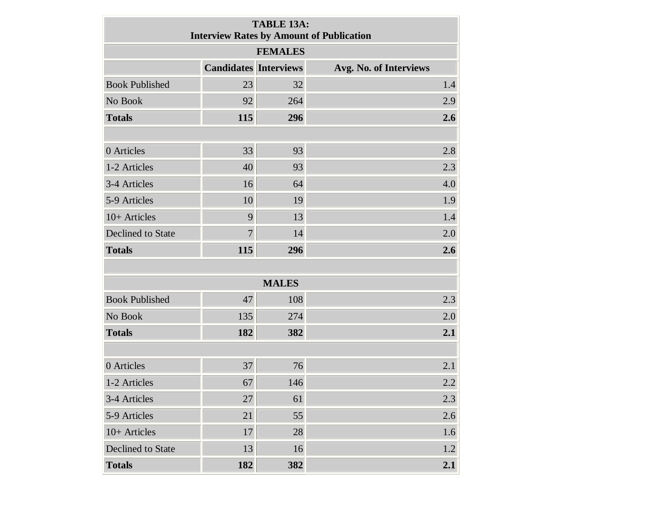| <b>TABLE 13A:</b><br><b>Interview Rates by Amount of Publication</b> |                              |              |                        |  |  |  |  |  |  |  |  |
|----------------------------------------------------------------------|------------------------------|--------------|------------------------|--|--|--|--|--|--|--|--|
| <b>FEMALES</b>                                                       |                              |              |                        |  |  |  |  |  |  |  |  |
|                                                                      | <b>Candidates Interviews</b> |              | Avg. No. of Interviews |  |  |  |  |  |  |  |  |
| <b>Book Published</b>                                                | 23                           | 32           | 1.4                    |  |  |  |  |  |  |  |  |
| No Book                                                              | 92                           | 264          | 2.9                    |  |  |  |  |  |  |  |  |
| <b>Totals</b>                                                        | 115                          | 296          | 2.6                    |  |  |  |  |  |  |  |  |
|                                                                      |                              |              |                        |  |  |  |  |  |  |  |  |
| 0 Articles                                                           | 33                           | 93           | 2.8                    |  |  |  |  |  |  |  |  |
| 1-2 Articles                                                         | 40                           | 93           | 2.3                    |  |  |  |  |  |  |  |  |
| 3-4 Articles                                                         | 16                           | 64           | 4.0                    |  |  |  |  |  |  |  |  |
| 5-9 Articles                                                         | 10                           | 19           | 1.9                    |  |  |  |  |  |  |  |  |
| 10+ Articles                                                         | 9                            | 13           | 1.4                    |  |  |  |  |  |  |  |  |
| <b>Declined to State</b>                                             | $\overline{7}$               | 14           | 2.0                    |  |  |  |  |  |  |  |  |
| <b>Totals</b>                                                        | 115                          | 296          | 2.6                    |  |  |  |  |  |  |  |  |
|                                                                      |                              |              |                        |  |  |  |  |  |  |  |  |
|                                                                      |                              | <b>MALES</b> |                        |  |  |  |  |  |  |  |  |
| <b>Book Published</b>                                                | 47                           | 108          | 2.3                    |  |  |  |  |  |  |  |  |
| No Book                                                              | 135                          | 274          | 2.0                    |  |  |  |  |  |  |  |  |
| <b>Totals</b>                                                        | 182                          | 382          | 2.1                    |  |  |  |  |  |  |  |  |
|                                                                      |                              |              |                        |  |  |  |  |  |  |  |  |
| 0 Articles                                                           | 37                           | 76           | 2.1                    |  |  |  |  |  |  |  |  |
| 1-2 Articles                                                         | 67                           | 146          | 2.2                    |  |  |  |  |  |  |  |  |
| 3-4 Articles                                                         | 27                           | 61           | 2.3                    |  |  |  |  |  |  |  |  |
| 5-9 Articles                                                         | 21                           | 55           | 2.6                    |  |  |  |  |  |  |  |  |
| 10+ Articles                                                         | 17                           | 28           | 1.6                    |  |  |  |  |  |  |  |  |
| Declined to State                                                    | 13                           | 16           | 1.2                    |  |  |  |  |  |  |  |  |
| <b>Totals</b>                                                        | 182                          | 382          | 2.1                    |  |  |  |  |  |  |  |  |